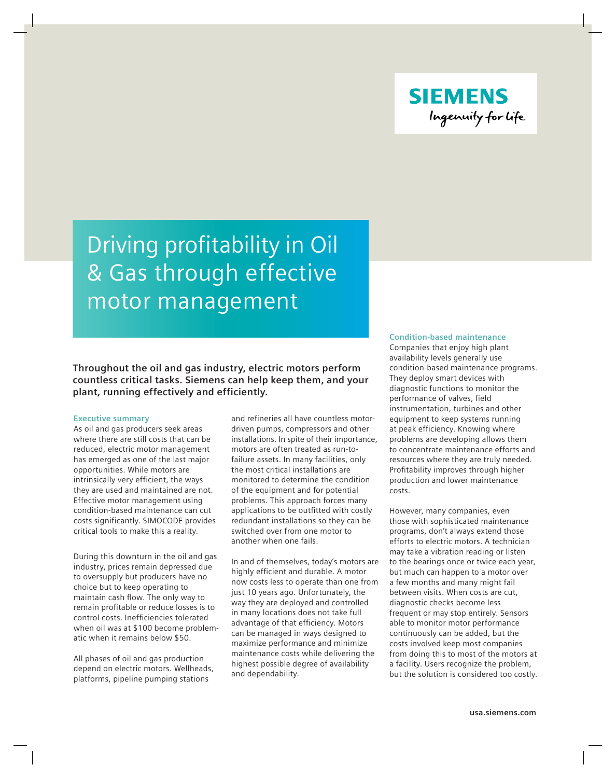

# Driving profitability in Oil & Gas through effective motor management

## **Throughout the oil and gas industry, electric motors perform countless critical tasks. Siemens can help keep them, and your plant, running effectively and efficiently.**

#### **Executive summary**

As oil and gas producers seek areas where there are still costs that can be reduced, electric motor management has emerged as one of the last major opportunities. While motors are intrinsically very efficient, the ways they are used and maintained are not. Effective motor management using condition-based maintenance can cut costs significantly. SIMOCODE provides critical tools to make this a reality.

During this downturn in the oil and gas industry, prices remain depressed due to oversupply but producers have no choice but to keep operating to maintain cash flow. The only way to remain profitable or reduce losses is to control costs. Inefficiencies tolerated when oil was at \$100 become problematic when it remains below \$50.

All phases of oil and gas production depend on electric motors. Wellheads, platforms, pipeline pumping stations

and refineries all have countless motordriven pumps, compressors and other installations. In spite of their importance, motors are often treated as run-tofailure assets. In many facilities, only the most critical installations are monitored to determine the condition of the equipment and for potential problems. This approach forces many applications to be outfitted with costly redundant installations so they can be switched over from one motor to another when one fails.

In and of themselves, today's motors are highly efficient and durable. A motor now costs less to operate than one from just 10 years ago. Unfortunately, the way they are deployed and controlled in many locations does not take full advantage of that efficiency. Motors can be managed in ways designed to maximize performance and minimize maintenance costs while delivering the highest possible degree of availability and dependability.

## **Condition-based maintenance**

Companies that enjoy high plant availability levels generally use condition-based maintenance programs. They deploy smart devices with diagnostic functions to monitor the performance of valves, field instrumentation, turbines and other equipment to keep systems running at peak efficiency. Knowing where problems are developing allows them to concentrate maintenance efforts and resources where they are truly needed. Profitability improves through higher production and lower maintenance costs.

However, many companies, even those with sophisticated maintenance programs, don't always extend those efforts to electric motors. A technician may take a vibration reading or listen to the bearings once or twice each year, but much can happen to a motor over a few months and many might fail between visits. When costs are cut, diagnostic checks become less frequent or may stop entirely. Sensors able to monitor motor performance continuously can be added, but the costs involved keep most companies from doing this to most of the motors at a facility. Users recognize the problem, but the solution is considered too costly.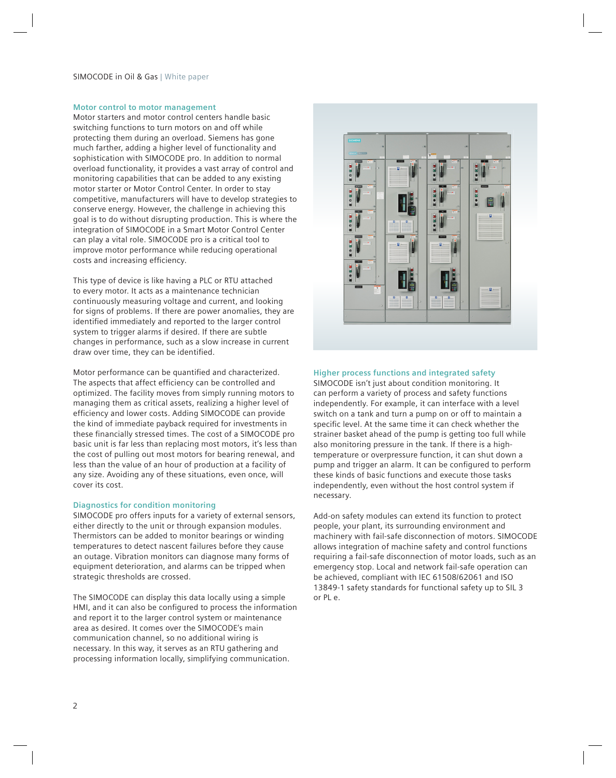## SIMOCODE in Oil & Gas | White paper

## **Motor control to motor management**

Motor starters and motor control centers handle basic switching functions to turn motors on and off while protecting them during an overload. Siemens has gone much farther, adding a higher level of functionality and sophistication with SIMOCODE pro. In addition to normal overload functionality, it provides a vast array of control and monitoring capabilities that can be added to any existing motor starter or Motor Control Center. In order to stay competitive, manufacturers will have to develop strategies to conserve energy. However, the challenge in achieving this goal is to do without disrupting production. This is where the integration of SIMOCODE in a Smart Motor Control Center can play a vital role. SIMOCODE pro is a critical tool to improve motor performance while reducing operational costs and increasing efficiency.

This type of device is like having a PLC or RTU attached to every motor. It acts as a maintenance technician continuously measuring voltage and current, and looking for signs of problems. If there are power anomalies, they are identified immediately and reported to the larger control system to trigger alarms if desired. If there are subtle changes in performance, such as a slow increase in current draw over time, they can be identified.

Motor performance can be quantified and characterized. The aspects that affect efficiency can be controlled and optimized. The facility moves from simply running motors to managing them as critical assets, realizing a higher level of efficiency and lower costs. Adding SIMOCODE can provide the kind of immediate payback required for investments in these financially stressed times. The cost of a SIMOCODE pro basic unit is far less than replacing most motors, it's less than the cost of pulling out most motors for bearing renewal, and less than the value of an hour of production at a facility of any size. Avoiding any of these situations, even once, will cover its cost.

#### **Diagnostics for condition monitoring**

SIMOCODE pro offers inputs for a variety of external sensors, either directly to the unit or through expansion modules. Thermistors can be added to monitor bearings or winding temperatures to detect nascent failures before they cause an outage. Vibration monitors can diagnose many forms of equipment deterioration, and alarms can be tripped when strategic thresholds are crossed.

The SIMOCODE can display this data locally using a simple HMI, and it can also be configured to process the information and report it to the larger control system or maintenance area as desired. It comes over the SIMOCODE's main communication channel, so no additional wiring is necessary. In this way, it serves as an RTU gathering and processing information locally, simplifying communication.



## **Higher process functions and integrated safety**

SIMOCODE isn't just about condition monitoring. It can perform a variety of process and safety functions independently. For example, it can interface with a level switch on a tank and turn a pump on or off to maintain a specific level. At the same time it can check whether the strainer basket ahead of the pump is getting too full while also monitoring pressure in the tank. If there is a hightemperature or overpressure function, it can shut down a pump and trigger an alarm. It can be configured to perform these kinds of basic functions and execute those tasks independently, even without the host control system if necessary.

Add-on safety modules can extend its function to protect people, your plant, its surrounding environment and machinery with fail-safe disconnection of motors. SIMOCODE allows integration of machine safety and control functions requiring a fail-safe disconnection of motor loads, such as an emergency stop. Local and network fail-safe operation can be achieved, compliant with IEC 61508/62061 and ISO 13849-1 safety standards for functional safety up to SIL 3 or PL e.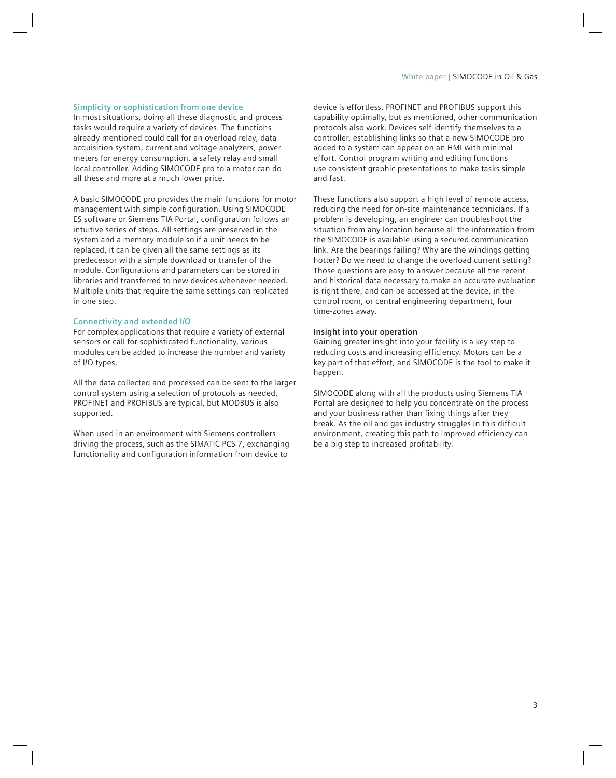## **Simplicity or sophistication from one device**

In most situations, doing all these diagnostic and process tasks would require a variety of devices. The functions already mentioned could call for an overload relay, data acquisition system, current and voltage analyzers, power meters for energy consumption, a safety relay and small local controller. Adding SIMOCODE pro to a motor can do all these and more at a much lower price.

A basic SIMOCODE pro provides the main functions for motor management with simple configuration. Using SIMOCODE ES software or Siemens TIA Portal, configuration follows an intuitive series of steps. All settings are preserved in the system and a memory module so if a unit needs to be replaced, it can be given all the same settings as its predecessor with a simple download or transfer of the module. Configurations and parameters can be stored in libraries and transferred to new devices whenever needed. Multiple units that require the same settings can replicated in one step.

### **Connectivity and extended I/O**

For complex applications that require a variety of external sensors or call for sophisticated functionality, various modules can be added to increase the number and variety of I/O types.

All the data collected and processed can be sent to the larger control system using a selection of protocols as needed. PROFINET and PROFIBUS are typical, but MODBUS is also supported.

When used in an environment with Siemens controllers driving the process, such as the SIMATIC PCS 7, exchanging functionality and configuration information from device to

device is effortless. PROFINET and PROFIBUS support this capability optimally, but as mentioned, other communication protocols also work. Devices self identify themselves to a controller, establishing links so that a new SIMOCODE pro added to a system can appear on an HMI with minimal effort. Control program writing and editing functions use consistent graphic presentations to make tasks simple and fast.

These functions also support a high level of remote access, reducing the need for on-site maintenance technicians. If a problem is developing, an engineer can troubleshoot the situation from any location because all the information from the SIMOCODE is available using a secured communication link. Are the bearings failing? Why are the windings getting hotter? Do we need to change the overload current setting? Those questions are easy to answer because all the recent and historical data necessary to make an accurate evaluation is right there, and can be accessed at the device, in the control room, or central engineering department, four time-zones away.

## **Insight into your operation**

Gaining greater insight into your facility is a key step to reducing costs and increasing efficiency. Motors can be a key part of that effort, and SIMOCODE is the tool to make it happen.

SIMOCODE along with all the products using Siemens TIA Portal are designed to help you concentrate on the process and your business rather than fixing things after they break. As the oil and gas industry struggles in this difficult environment, creating this path to improved efficiency can be a big step to increased profitability.